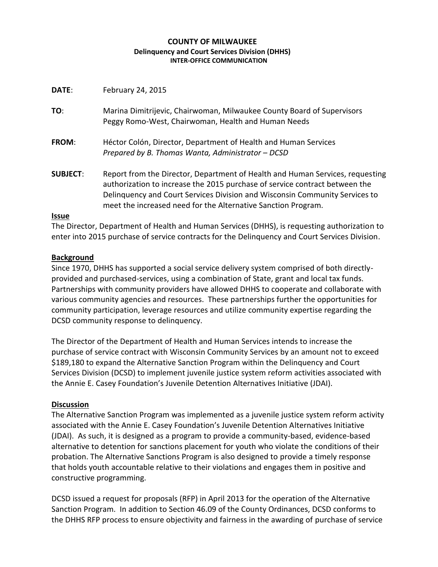### **COUNTY OF MILWAUKEE Delinquency and Court Services Division (DHHS) INTER-OFFICE COMMUNICATION**

| DATE: | February 24, 2015 |  |
|-------|-------------------|--|
|-------|-------------------|--|

**TO**: Marina Dimitrijevic, Chairwoman, Milwaukee County Board of Supervisors Peggy Romo-West, Chairwoman, Health and Human Needs

- **FROM**: Héctor Colón, Director, Department of Health and Human Services *Prepared by B. Thomas Wanta, Administrator – DCSD*
- **SUBJECT**: Report from the Director, Department of Health and Human Services, requesting authorization to increase the 2015 purchase of service contract between the Delinquency and Court Services Division and Wisconsin Community Services to meet the increased need for the Alternative Sanction Program.

### **Issue**

The Director, Department of Health and Human Services (DHHS), is requesting authorization to enter into 2015 purchase of service contracts for the Delinquency and Court Services Division.

## **Background**

Since 1970, DHHS has supported a social service delivery system comprised of both directlyprovided and purchased-services, using a combination of State, grant and local tax funds. Partnerships with community providers have allowed DHHS to cooperate and collaborate with various community agencies and resources. These partnerships further the opportunities for community participation, leverage resources and utilize community expertise regarding the DCSD community response to delinquency.

The Director of the Department of Health and Human Services intends to increase the purchase of service contract with Wisconsin Community Services by an amount not to exceed \$189,180 to expand the Alternative Sanction Program within the Delinquency and Court Services Division (DCSD) to implement juvenile justice system reform activities associated with the Annie E. Casey Foundation's Juvenile Detention Alternatives Initiative (JDAI).

# **Discussion**

The Alternative Sanction Program was implemented as a juvenile justice system reform activity associated with the Annie E. Casey Foundation's Juvenile Detention Alternatives Initiative (JDAI). As such, it is designed as a program to provide a community-based, evidence-based alternative to detention for sanctions placement for youth who violate the conditions of their probation. The Alternative Sanctions Program is also designed to provide a timely response that holds youth accountable relative to their violations and engages them in positive and constructive programming.

DCSD issued a request for proposals (RFP) in April 2013 for the operation of the Alternative Sanction Program. In addition to Section 46.09 of the County Ordinances, DCSD conforms to the DHHS RFP process to ensure objectivity and fairness in the awarding of purchase of service